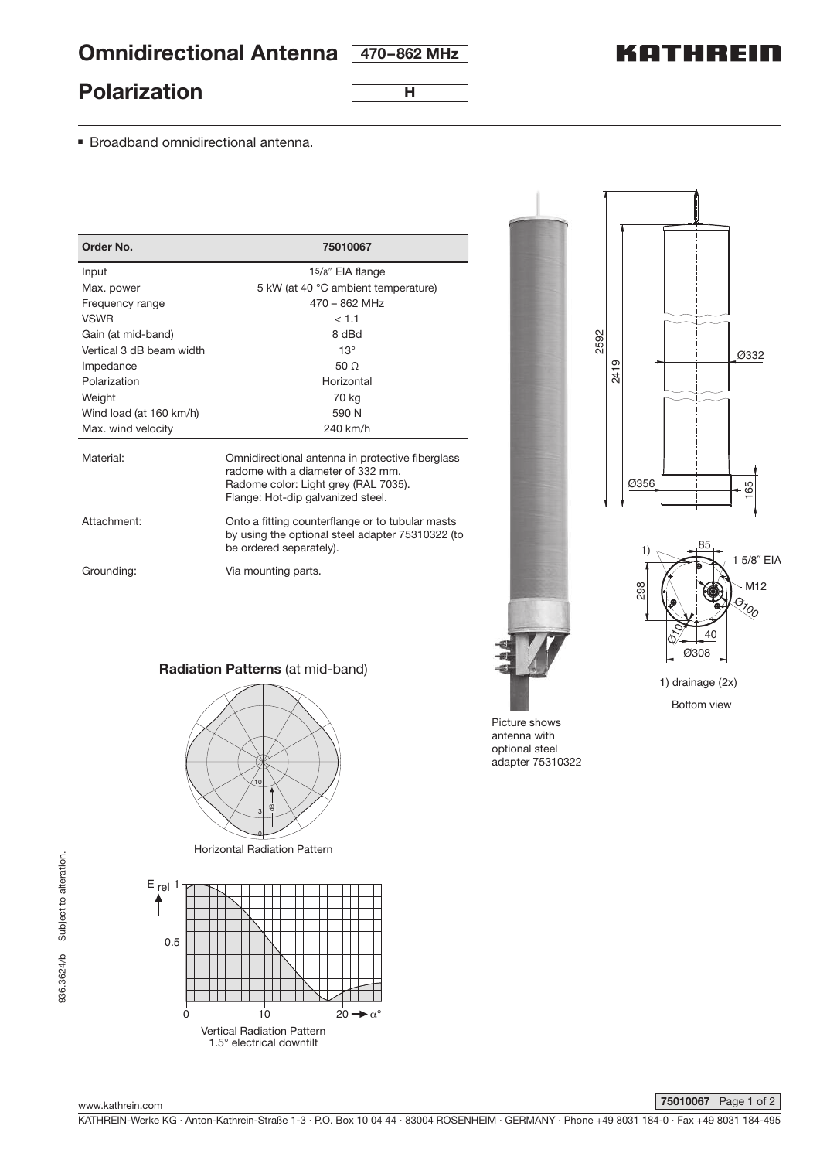# **Omnidirectional Antenna 470–862 MHz**

# KATHREIN

### **Polarization**

**H**

■ Broadband omnidirectional antenna.

| Order No.                | 75010067                                                                                                                                                           |
|--------------------------|--------------------------------------------------------------------------------------------------------------------------------------------------------------------|
| Input                    | 15/8" EIA flange                                                                                                                                                   |
| Max. power               | 5 kW (at 40 °C ambient temperature)                                                                                                                                |
| Frequency range          | $470 - 862$ MHz                                                                                                                                                    |
| <b>VSWR</b>              | < 1.1                                                                                                                                                              |
| Gain (at mid-band)       | 8 dBd                                                                                                                                                              |
| Vertical 3 dB beam width | $13^\circ$                                                                                                                                                         |
| Impedance                | 50 <sub>o</sub>                                                                                                                                                    |
| Polarization             | Horizontal                                                                                                                                                         |
| Weight                   | 70 kg                                                                                                                                                              |
| Wind load (at 160 km/h)  | 590 N                                                                                                                                                              |
| Max. wind velocity       | 240 km/h                                                                                                                                                           |
| Material:                | Omnidirectional antenna in protective fiberglass<br>radome with a diameter of 332 mm.<br>Radome color: Light grey (RAL 7035).<br>Flange: Hot-dip galvanized steel. |
| Attachment:              | Onto a fitting counterflange or to tubular masts<br>by using the optional steel adapter 75310322 (to<br>be ordered separately).                                    |
| Grounding:               | Via mounting parts.                                                                                                                                                |



### 1) drainage (2x) Bottom view

Picture shows

**Radiation Patterns** (at mid-band)



Horizontal Radiation Pattern



antenna with optional steel adapter 75310322

936.3624/b Subject to alteration. 936.3624/b Subject to alteration.

www.kathrein.com

**75010067** Page 1 of 2

KATHREIN-Werke KG · Anton-Kathrein-Straße 1-3 · P.O. Box 10 04 44 · 83004 ROSENHEIM · GERMANY · Phone +49 8031 184-0 · Fax +49 8031 184-495